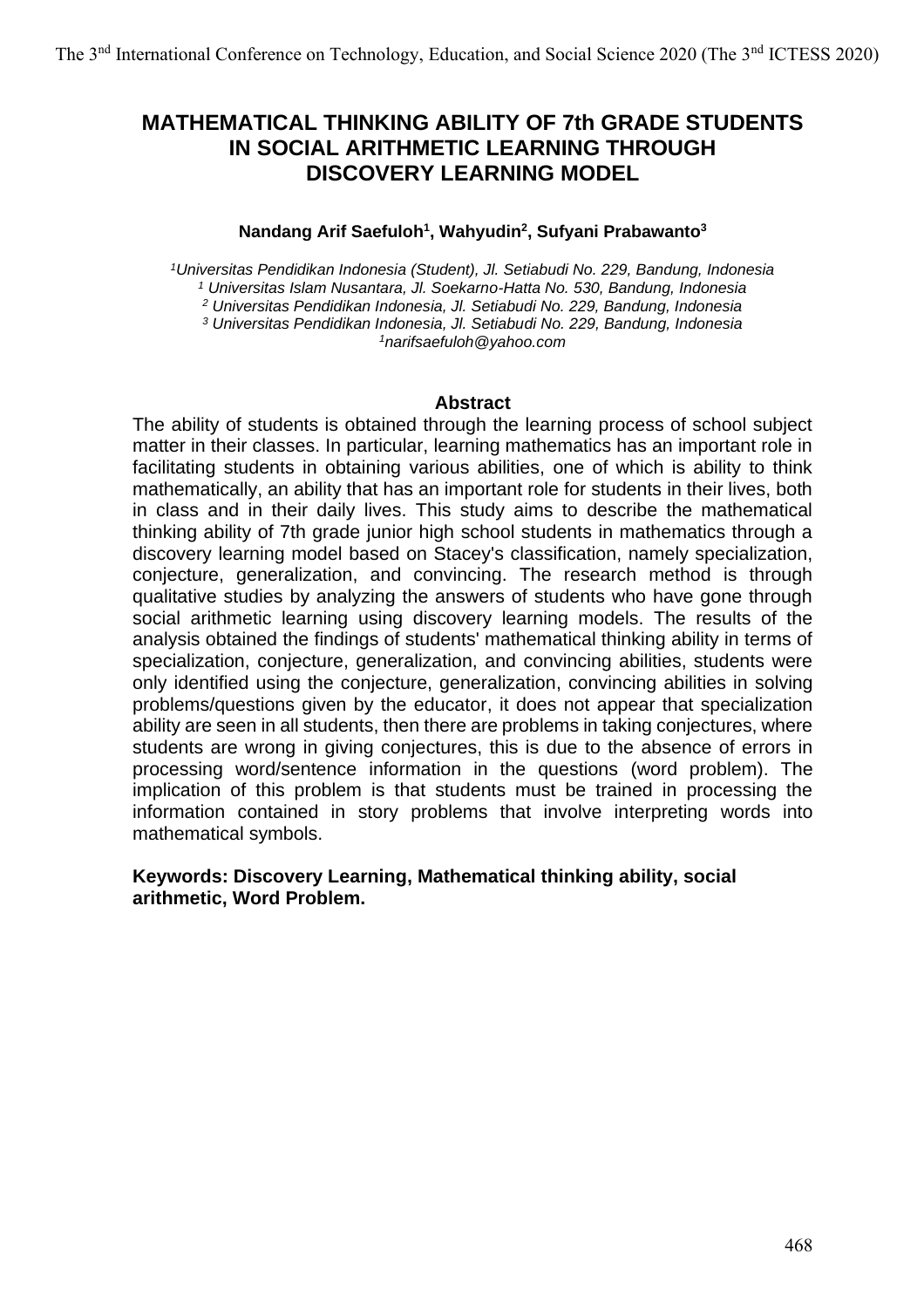# **MATHEMATICAL THINKING ABILITY OF 7th GRADE STUDENTS IN SOCIAL ARITHMETIC LEARNING THROUGH DISCOVERY LEARNING MODEL**

#### **Nandang Arif Saefuloh<sup>1</sup> , Wahyudin<sup>2</sup> , Sufyani Prabawanto<sup>3</sup>**

*Universitas Pendidikan Indonesia (Student), Jl. Setiabudi No. 229, Bandung, Indonesia Universitas Islam Nusantara, Jl. Soekarno-Hatta No. 530, Bandung, Indonesia Universitas Pendidikan Indonesia, Jl. Setiabudi No. 229, Bandung, Indonesia Universitas Pendidikan Indonesia, Jl. Setiabudi No. 229, Bandung, Indonesia narifsaefuloh@yahoo.com*

#### **Abstract**

The ability of students is obtained through the learning process of school subject matter in their classes. In particular, learning mathematics has an important role in facilitating students in obtaining various abilities, one of which is ability to think mathematically, an ability that has an important role for students in their lives, both in class and in their daily lives. This study aims to describe the mathematical thinking ability of 7th grade junior high school students in mathematics through a discovery learning model based on Stacey's classification, namely specialization, conjecture, generalization, and convincing. The research method is through qualitative studies by analyzing the answers of students who have gone through social arithmetic learning using discovery learning models. The results of the analysis obtained the findings of students' mathematical thinking ability in terms of specialization, conjecture, generalization, and convincing abilities, students were only identified using the conjecture, generalization, convincing abilities in solving problems/questions given by the educator, it does not appear that specialization ability are seen in all students, then there are problems in taking conjectures, where students are wrong in giving conjectures, this is due to the absence of errors in processing word/sentence information in the questions (word problem). The implication of this problem is that students must be trained in processing the information contained in story problems that involve interpreting words into mathematical symbols.

### **Keywords: Discovery Learning, Mathematical thinking ability, social arithmetic, Word Problem.**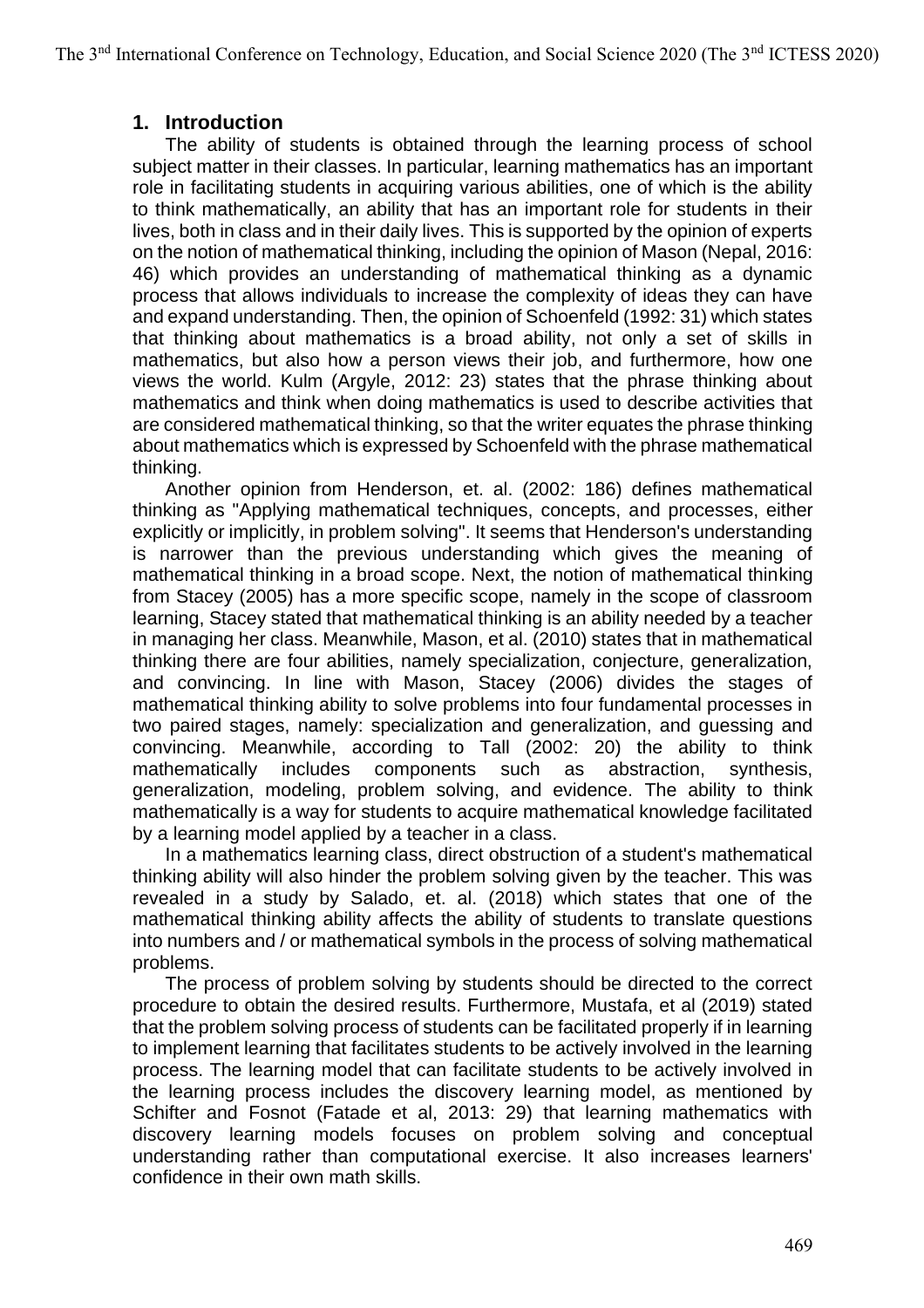## **1. Introduction**

The ability of students is obtained through the learning process of school subject matter in their classes. In particular, learning mathematics has an important role in facilitating students in acquiring various abilities, one of which is the ability to think mathematically, an ability that has an important role for students in their lives, both in class and in their daily lives. This is supported by the opinion of experts on the notion of mathematical thinking, including the opinion of Mason (Nepal, 2016: 46) which provides an understanding of mathematical thinking as a dynamic process that allows individuals to increase the complexity of ideas they can have and expand understanding. Then, the opinion of Schoenfeld (1992: 31) which states that thinking about mathematics is a broad ability, not only a set of skills in mathematics, but also how a person views their job, and furthermore, how one views the world. Kulm (Argyle, 2012: 23) states that the phrase thinking about mathematics and think when doing mathematics is used to describe activities that are considered mathematical thinking, so that the writer equates the phrase thinking about mathematics which is expressed by Schoenfeld with the phrase mathematical thinking.

Another opinion from Henderson, et. al. (2002: 186) defines mathematical thinking as "Applying mathematical techniques, concepts, and processes, either explicitly or implicitly, in problem solving". It seems that Henderson's understanding is narrower than the previous understanding which gives the meaning of mathematical thinking in a broad scope. Next, the notion of mathematical thinking from Stacey (2005) has a more specific scope, namely in the scope of classroom learning, Stacey stated that mathematical thinking is an ability needed by a teacher in managing her class. Meanwhile, Mason, et al. (2010) states that in mathematical thinking there are four abilities, namely specialization, conjecture, generalization, and convincing. In line with Mason, Stacey (2006) divides the stages of mathematical thinking ability to solve problems into four fundamental processes in two paired stages, namely: specialization and generalization, and guessing and convincing. Meanwhile, according to Tall (2002: 20) the ability to think mathematically includes components such as abstraction, synthesis, generalization, modeling, problem solving, and evidence. The ability to think mathematically is a way for students to acquire mathematical knowledge facilitated by a learning model applied by a teacher in a class.

In a mathematics learning class, direct obstruction of a student's mathematical thinking ability will also hinder the problem solving given by the teacher. This was revealed in a study by Salado, et. al. (2018) which states that one of the mathematical thinking ability affects the ability of students to translate questions into numbers and / or mathematical symbols in the process of solving mathematical problems.

The process of problem solving by students should be directed to the correct procedure to obtain the desired results. Furthermore, Mustafa, et al (2019) stated that the problem solving process of students can be facilitated properly if in learning to implement learning that facilitates students to be actively involved in the learning process. The learning model that can facilitate students to be actively involved in the learning process includes the discovery learning model, as mentioned by Schifter and Fosnot (Fatade et al, 2013: 29) that learning mathematics with discovery learning models focuses on problem solving and conceptual understanding rather than computational exercise. It also increases learners' confidence in their own math skills.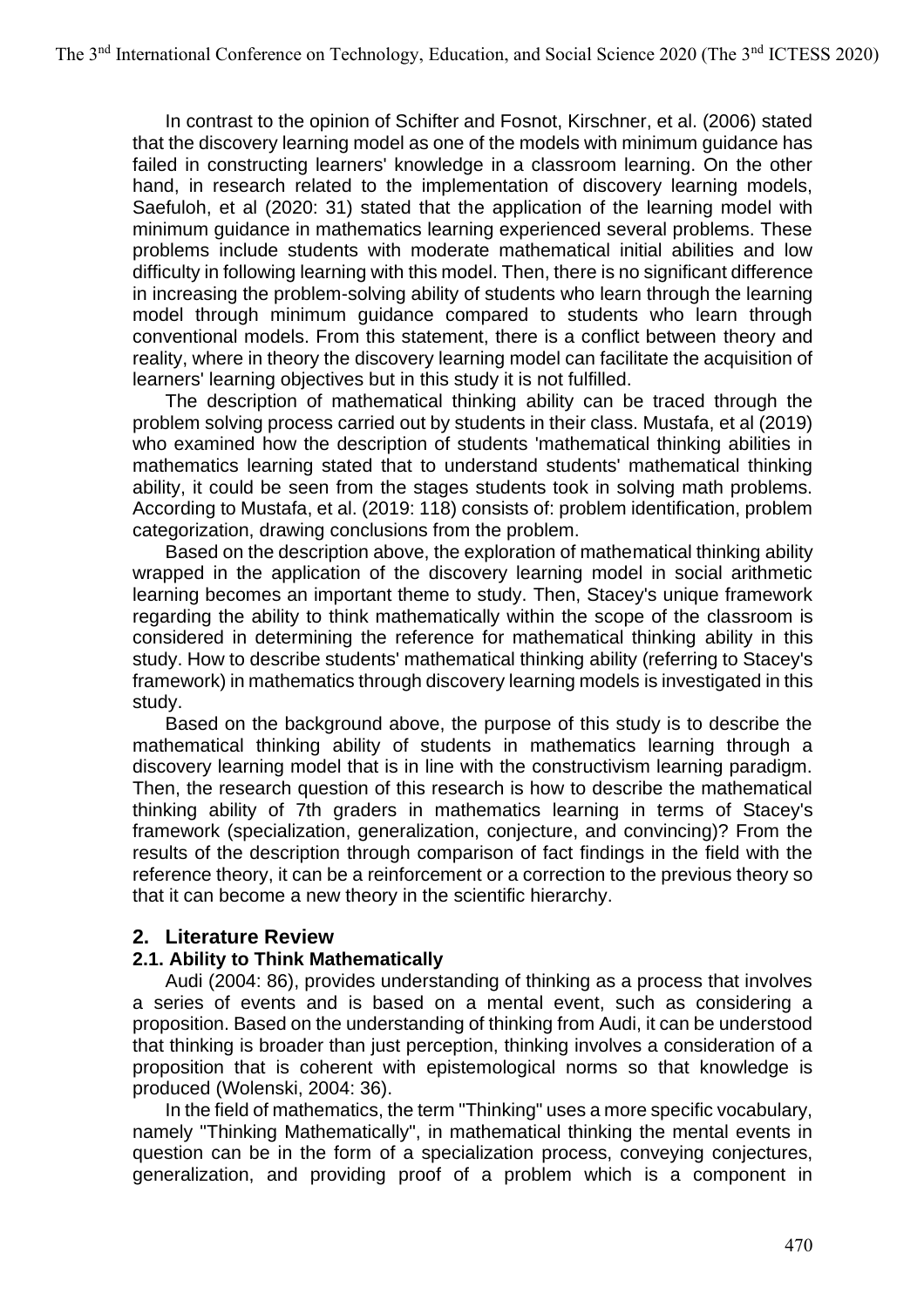In contrast to the opinion of Schifter and Fosnot, Kirschner, et al. (2006) stated that the discovery learning model as one of the models with minimum guidance has failed in constructing learners' knowledge in a classroom learning. On the other hand, in research related to the implementation of discovery learning models. Saefuloh, et al (2020: 31) stated that the application of the learning model with minimum guidance in mathematics learning experienced several problems. These problems include students with moderate mathematical initial abilities and low difficulty in following learning with this model. Then, there is no significant difference in increasing the problem-solving ability of students who learn through the learning model through minimum guidance compared to students who learn through conventional models. From this statement, there is a conflict between theory and reality, where in theory the discovery learning model can facilitate the acquisition of learners' learning objectives but in this study it is not fulfilled.

The description of mathematical thinking ability can be traced through the problem solving process carried out by students in their class. Mustafa, et al (2019) who examined how the description of students 'mathematical thinking abilities in mathematics learning stated that to understand students' mathematical thinking ability, it could be seen from the stages students took in solving math problems. According to Mustafa, et al. (2019: 118) consists of: problem identification, problem categorization, drawing conclusions from the problem.

Based on the description above, the exploration of mathematical thinking ability wrapped in the application of the discovery learning model in social arithmetic learning becomes an important theme to study. Then, Stacey's unique framework regarding the ability to think mathematically within the scope of the classroom is considered in determining the reference for mathematical thinking ability in this study. How to describe students' mathematical thinking ability (referring to Stacey's framework) in mathematics through discovery learning models is investigated in this study.

Based on the background above, the purpose of this study is to describe the mathematical thinking ability of students in mathematics learning through a discovery learning model that is in line with the constructivism learning paradigm. Then, the research question of this research is how to describe the mathematical thinking ability of 7th graders in mathematics learning in terms of Stacey's framework (specialization, generalization, conjecture, and convincing)? From the results of the description through comparison of fact findings in the field with the reference theory, it can be a reinforcement or a correction to the previous theory so that it can become a new theory in the scientific hierarchy.

## **2. Literature Review**

### **2.1. Ability to Think Mathematically**

Audi (2004: 86), provides understanding of thinking as a process that involves a series of events and is based on a mental event, such as considering a proposition. Based on the understanding of thinking from Audi, it can be understood that thinking is broader than just perception, thinking involves a consideration of a proposition that is coherent with epistemological norms so that knowledge is produced (Wolenski, 2004: 36).

In the field of mathematics, the term "Thinking" uses a more specific vocabulary, namely "Thinking Mathematically", in mathematical thinking the mental events in question can be in the form of a specialization process, conveying conjectures, generalization, and providing proof of a problem which is a component in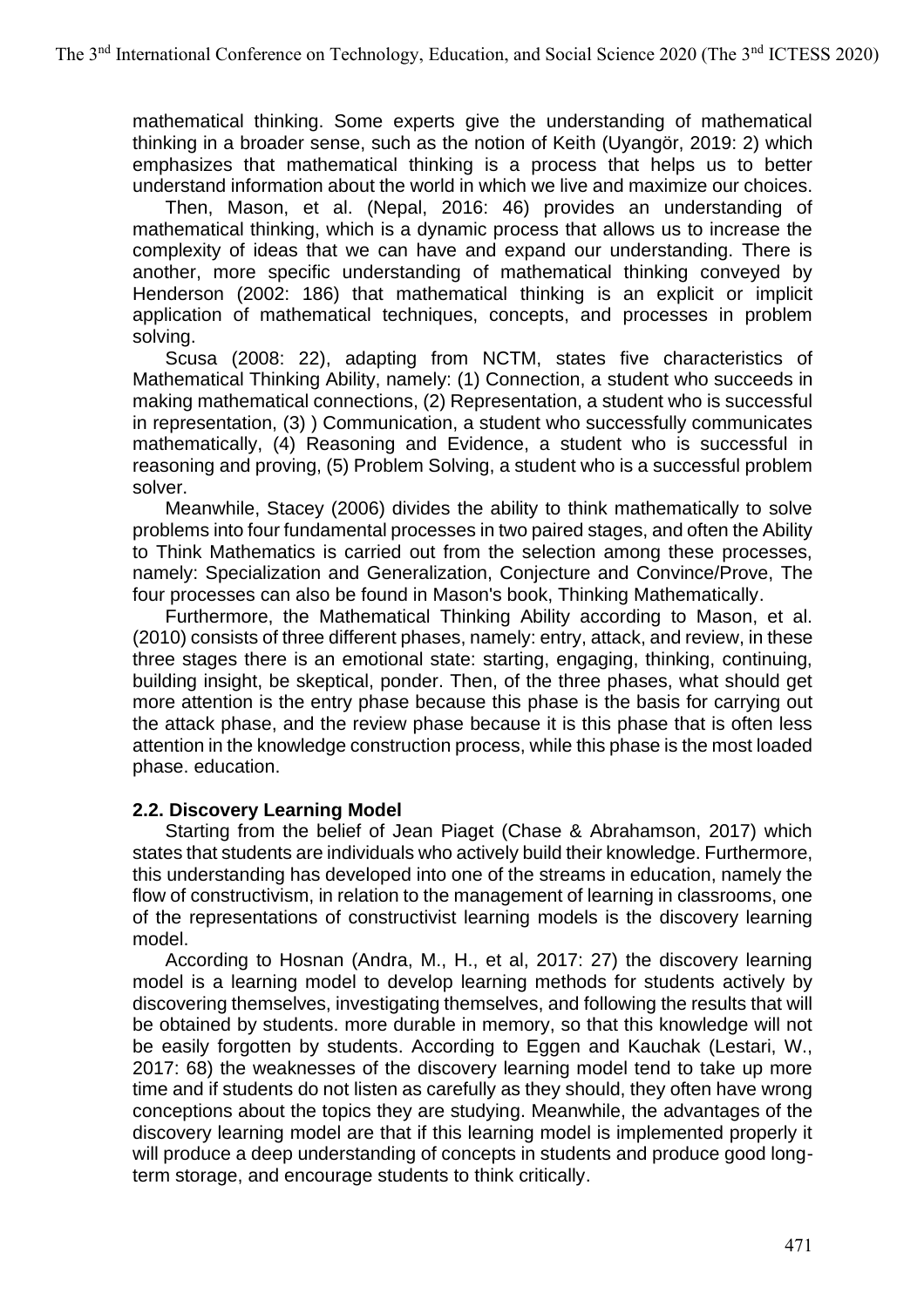mathematical thinking. Some experts give the understanding of mathematical thinking in a broader sense, such as the notion of Keith (Uyangör, 2019: 2) which emphasizes that mathematical thinking is a process that helps us to better understand information about the world in which we live and maximize our choices.

Then, Mason, et al. (Nepal, 2016: 46) provides an understanding of mathematical thinking, which is a dynamic process that allows us to increase the complexity of ideas that we can have and expand our understanding. There is another, more specific understanding of mathematical thinking conveyed by Henderson (2002: 186) that mathematical thinking is an explicit or implicit application of mathematical techniques, concepts, and processes in problem solving.

Scusa (2008: 22), adapting from NCTM, states five characteristics of Mathematical Thinking Ability, namely: (1) Connection, a student who succeeds in making mathematical connections, (2) Representation, a student who is successful in representation, (3) ) Communication, a student who successfully communicates mathematically, (4) Reasoning and Evidence, a student who is successful in reasoning and proving, (5) Problem Solving, a student who is a successful problem solver.

Meanwhile, Stacey (2006) divides the ability to think mathematically to solve problems into four fundamental processes in two paired stages, and often the Ability to Think Mathematics is carried out from the selection among these processes, namely: Specialization and Generalization, Conjecture and Convince/Prove, The four processes can also be found in Mason's book, Thinking Mathematically.

Furthermore, the Mathematical Thinking Ability according to Mason, et al. (2010) consists of three different phases, namely: entry, attack, and review, in these three stages there is an emotional state: starting, engaging, thinking, continuing, building insight, be skeptical, ponder. Then, of the three phases, what should get more attention is the entry phase because this phase is the basis for carrying out the attack phase, and the review phase because it is this phase that is often less attention in the knowledge construction process, while this phase is the most loaded phase. education.

### **2.2. Discovery Learning Model**

Starting from the belief of Jean Piaget (Chase & Abrahamson, 2017) which states that students are individuals who actively build their knowledge. Furthermore, this understanding has developed into one of the streams in education, namely the flow of constructivism, in relation to the management of learning in classrooms, one of the representations of constructivist learning models is the discovery learning model.

According to Hosnan (Andra, M., H., et al, 2017: 27) the discovery learning model is a learning model to develop learning methods for students actively by discovering themselves, investigating themselves, and following the results that will be obtained by students. more durable in memory, so that this knowledge will not be easily forgotten by students. According to Eggen and Kauchak (Lestari, W., 2017: 68) the weaknesses of the discovery learning model tend to take up more time and if students do not listen as carefully as they should, they often have wrong conceptions about the topics they are studying. Meanwhile, the advantages of the discovery learning model are that if this learning model is implemented properly it will produce a deep understanding of concepts in students and produce good longterm storage, and encourage students to think critically.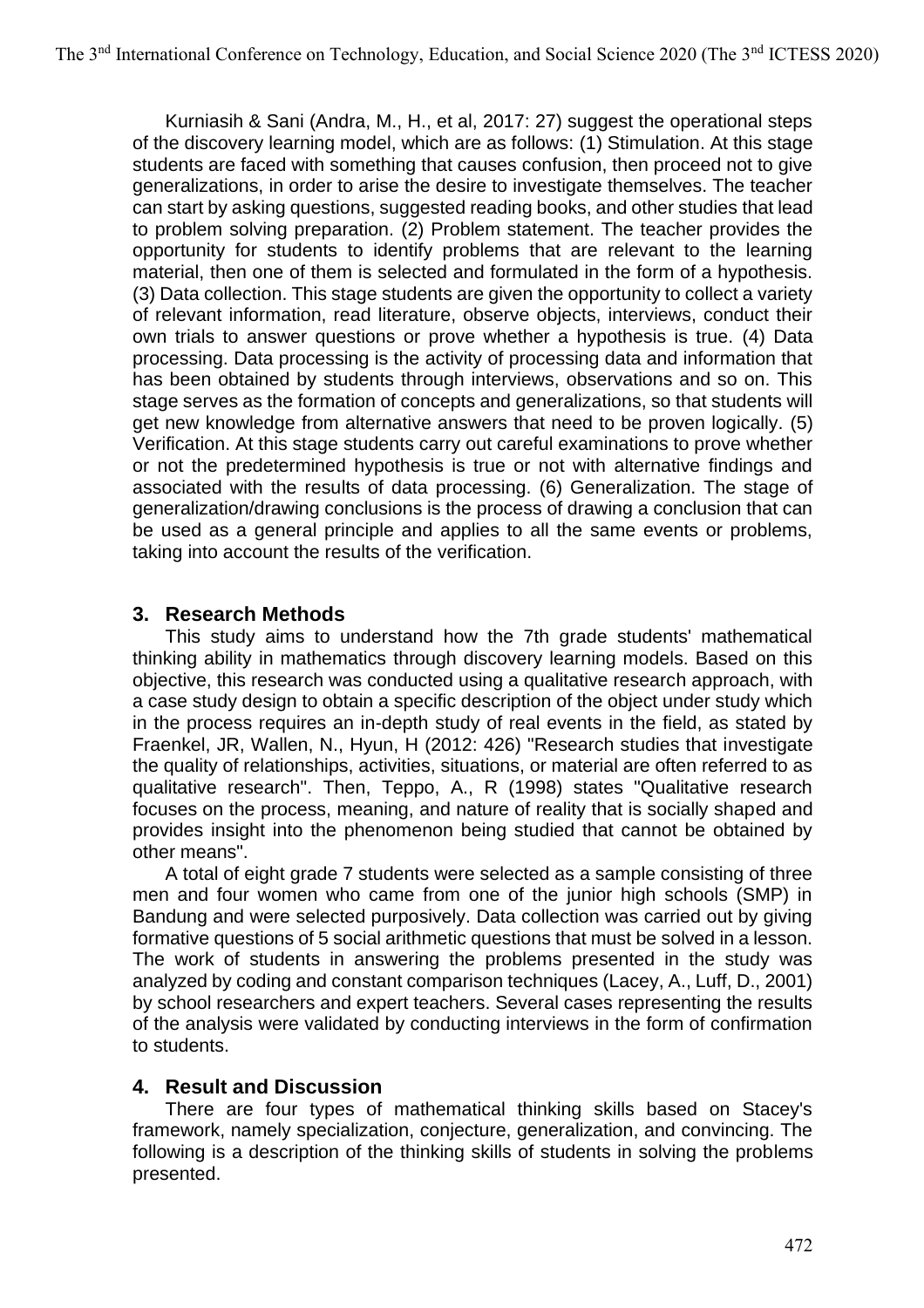Kurniasih & Sani (Andra, M., H., et al, 2017: 27) suggest the operational steps of the discovery learning model, which are as follows: (1) Stimulation. At this stage students are faced with something that causes confusion, then proceed not to give generalizations, in order to arise the desire to investigate themselves. The teacher can start by asking questions, suggested reading books, and other studies that lead to problem solving preparation. (2) Problem statement. The teacher provides the opportunity for students to identify problems that are relevant to the learning material, then one of them is selected and formulated in the form of a hypothesis. (3) Data collection. This stage students are given the opportunity to collect a variety of relevant information, read literature, observe objects, interviews, conduct their own trials to answer questions or prove whether a hypothesis is true. (4) Data processing. Data processing is the activity of processing data and information that has been obtained by students through interviews, observations and so on. This stage serves as the formation of concepts and generalizations, so that students will get new knowledge from alternative answers that need to be proven logically. (5) Verification. At this stage students carry out careful examinations to prove whether or not the predetermined hypothesis is true or not with alternative findings and associated with the results of data processing. (6) Generalization. The stage of generalization/drawing conclusions is the process of drawing a conclusion that can be used as a general principle and applies to all the same events or problems, taking into account the results of the verification.

## **3. Research Methods**

This study aims to understand how the 7th grade students' mathematical thinking ability in mathematics through discovery learning models. Based on this objective, this research was conducted using a qualitative research approach, with a case study design to obtain a specific description of the object under study which in the process requires an in-depth study of real events in the field, as stated by Fraenkel, JR, Wallen, N., Hyun, H (2012: 426) "Research studies that investigate the quality of relationships, activities, situations, or material are often referred to as qualitative research". Then, Teppo, A., R (1998) states "Qualitative research focuses on the process, meaning, and nature of reality that is socially shaped and provides insight into the phenomenon being studied that cannot be obtained by other means".

A total of eight grade 7 students were selected as a sample consisting of three men and four women who came from one of the junior high schools (SMP) in Bandung and were selected purposively. Data collection was carried out by giving formative questions of 5 social arithmetic questions that must be solved in a lesson. The work of students in answering the problems presented in the study was analyzed by coding and constant comparison techniques (Lacey, A., Luff, D., 2001) by school researchers and expert teachers. Several cases representing the results of the analysis were validated by conducting interviews in the form of confirmation to students.

### **4. Result and Discussion**

There are four types of mathematical thinking skills based on Stacey's framework, namely specialization, conjecture, generalization, and convincing. The following is a description of the thinking skills of students in solving the problems presented.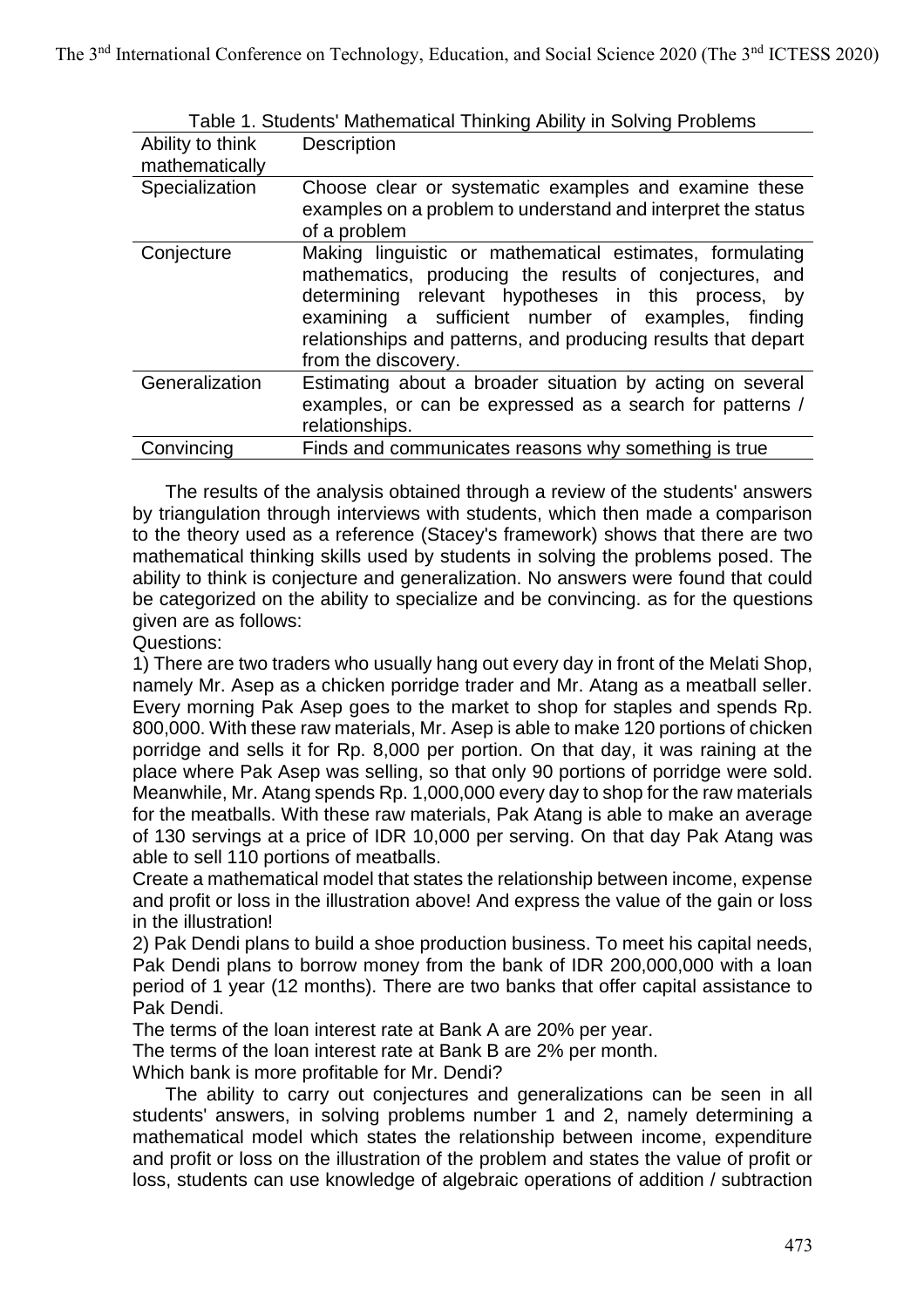| Ability to think<br>mathematically | Description                                                                                                                                                                                                                                                                                                             |
|------------------------------------|-------------------------------------------------------------------------------------------------------------------------------------------------------------------------------------------------------------------------------------------------------------------------------------------------------------------------|
| Specialization                     | Choose clear or systematic examples and examine these<br>examples on a problem to understand and interpret the status<br>of a problem                                                                                                                                                                                   |
| Conjecture                         | Making linguistic or mathematical estimates, formulating<br>mathematics, producing the results of conjectures, and<br>determining relevant hypotheses in this process, by<br>examining a sufficient number of examples, finding<br>relationships and patterns, and producing results that depart<br>from the discovery. |
| Generalization                     | Estimating about a broader situation by acting on several<br>examples, or can be expressed as a search for patterns /<br>relationships.                                                                                                                                                                                 |
| Convincing                         | Finds and communicates reasons why something is true                                                                                                                                                                                                                                                                    |

Table 1. Students' Mathematical Thinking Ability in Solving Problems

The results of the analysis obtained through a review of the students' answers by triangulation through interviews with students, which then made a comparison to the theory used as a reference (Stacey's framework) shows that there are two mathematical thinking skills used by students in solving the problems posed. The ability to think is conjecture and generalization. No answers were found that could be categorized on the ability to specialize and be convincing. as for the questions given are as follows:

#### Questions:

1) There are two traders who usually hang out every day in front of the Melati Shop, namely Mr. Asep as a chicken porridge trader and Mr. Atang as a meatball seller. Every morning Pak Asep goes to the market to shop for staples and spends Rp. 800,000. With these raw materials, Mr. Asep is able to make 120 portions of chicken porridge and sells it for Rp. 8,000 per portion. On that day, it was raining at the place where Pak Asep was selling, so that only 90 portions of porridge were sold. Meanwhile, Mr. Atang spends Rp. 1,000,000 every day to shop for the raw materials for the meatballs. With these raw materials, Pak Atang is able to make an average of 130 servings at a price of IDR 10,000 per serving. On that day Pak Atang was able to sell 110 portions of meatballs.

Create a mathematical model that states the relationship between income, expense and profit or loss in the illustration above! And express the value of the gain or loss in the illustration!

2) Pak Dendi plans to build a shoe production business. To meet his capital needs, Pak Dendi plans to borrow money from the bank of IDR 200,000,000 with a loan period of 1 year (12 months). There are two banks that offer capital assistance to Pak Dendi.

The terms of the loan interest rate at Bank A are 20% per year.

The terms of the loan interest rate at Bank B are 2% per month.

Which bank is more profitable for Mr. Dendi?

The ability to carry out conjectures and generalizations can be seen in all students' answers, in solving problems number 1 and 2, namely determining a mathematical model which states the relationship between income, expenditure and profit or loss on the illustration of the problem and states the value of profit or loss, students can use knowledge of algebraic operations of addition / subtraction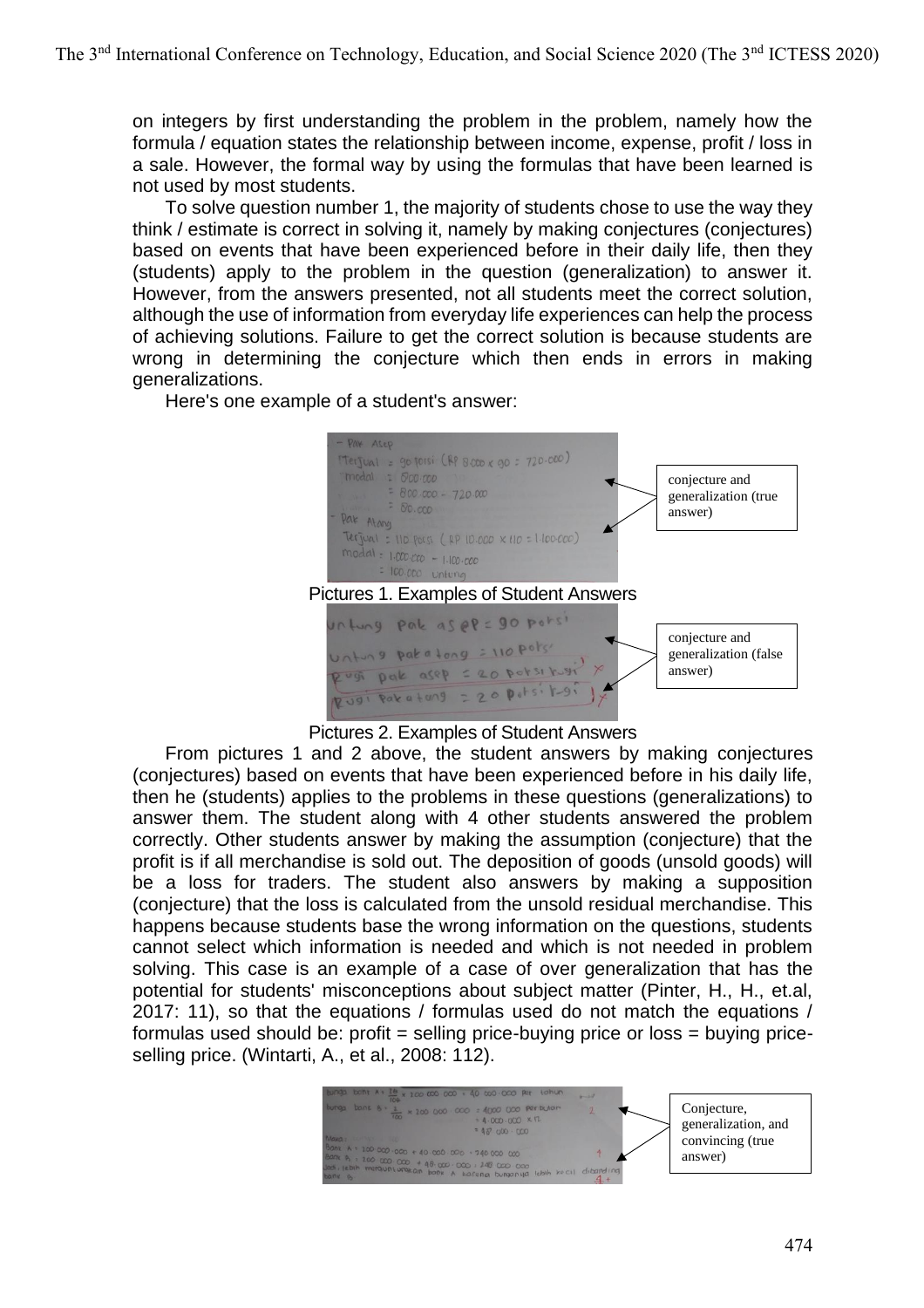on integers by first understanding the problem in the problem, namely how the formula / equation states the relationship between income, expense, profit / loss in a sale. However, the formal way by using the formulas that have been learned is not used by most students.

To solve question number 1, the majority of students chose to use the way they think / estimate is correct in solving it, namely by making conjectures (conjectures) based on events that have been experienced before in their daily life, then they (students) apply to the problem in the question (generalization) to answer it. However, from the answers presented, not all students meet the correct solution, although the use of information from everyday life experiences can help the process of achieving solutions. Failure to get the correct solution is because students are wrong in determining the conjecture which then ends in errors in making generalizations.

Here's one example of a student's answer:



Pictures 2. Examples of Student Answers

From pictures 1 and 2 above, the student answers by making conjectures (conjectures) based on events that have been experienced before in his daily life, then he (students) applies to the problems in these questions (generalizations) to answer them. The student along with 4 other students answered the problem correctly. Other students answer by making the assumption (conjecture) that the profit is if all merchandise is sold out. The deposition of goods (unsold goods) will be a loss for traders. The student also answers by making a supposition (conjecture) that the loss is calculated from the unsold residual merchandise. This happens because students base the wrong information on the questions, students cannot select which information is needed and which is not needed in problem solving. This case is an example of a case of over generalization that has the potential for students' misconceptions about subject matter (Pinter, H., H., et.al, 2017: 11), so that the equations / formulas used do not match the equations / formulas used should be: profit = selling price-buying price or loss = buying priceselling price. (Wintarti, A., et al., 2008: 112).

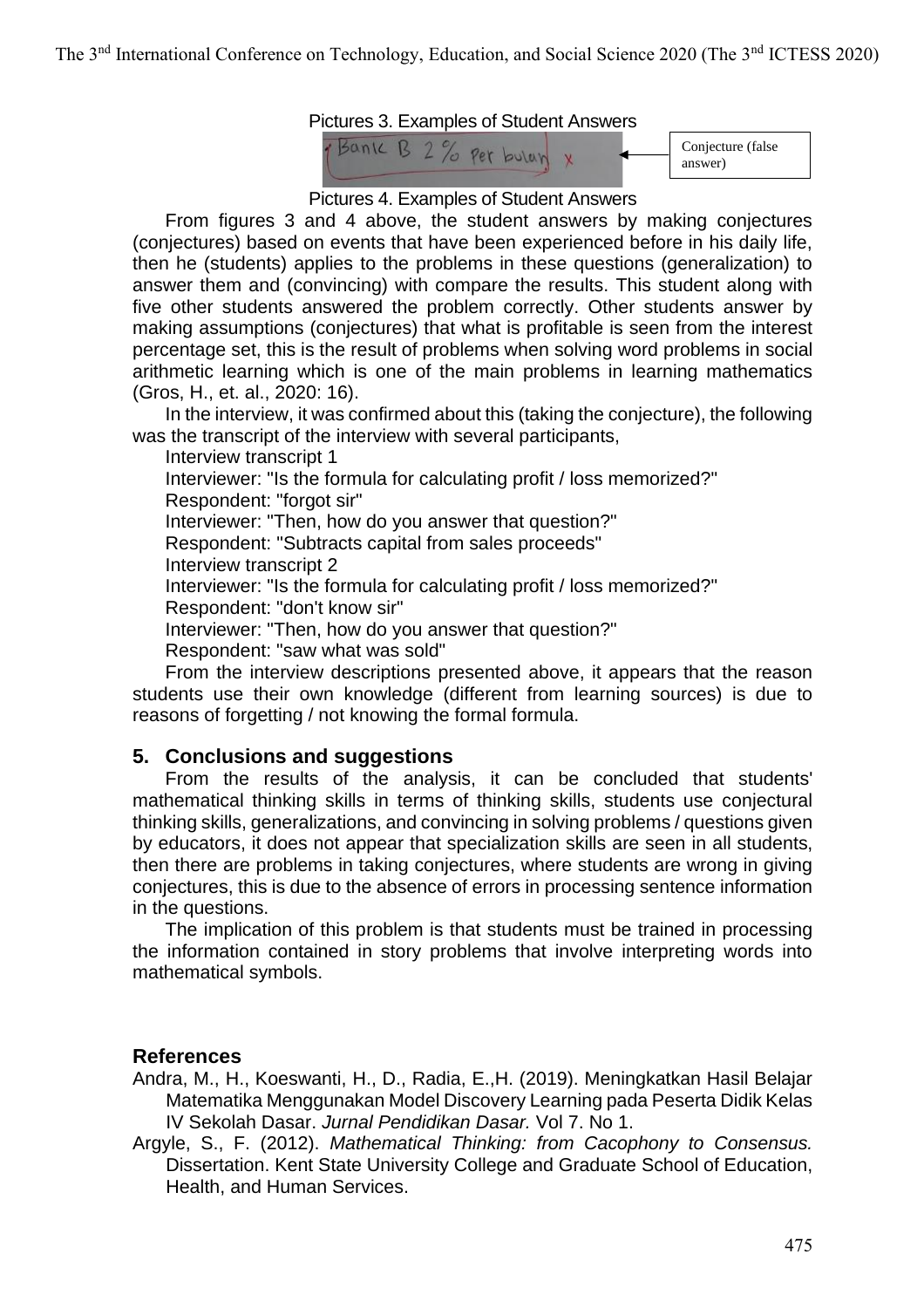



Pictures 4. Examples of Student Answers

From figures 3 and 4 above, the student answers by making conjectures (conjectures) based on events that have been experienced before in his daily life, then he (students) applies to the problems in these questions (generalization) to answer them and (convincing) with compare the results. This student along with five other students answered the problem correctly. Other students answer by making assumptions (conjectures) that what is profitable is seen from the interest percentage set, this is the result of problems when solving word problems in social arithmetic learning which is one of the main problems in learning mathematics (Gros, H., et. al., 2020: 16).

In the interview, it was confirmed about this (taking the conjecture), the following was the transcript of the interview with several participants,

Interview transcript 1 Interviewer: "Is the formula for calculating profit / loss memorized?" Respondent: "forgot sir" Interviewer: "Then, how do you answer that question?" Respondent: "Subtracts capital from sales proceeds" Interview transcript 2 Interviewer: "Is the formula for calculating profit / loss memorized?" Respondent: "don't know sir" Interviewer: "Then, how do you answer that question?" Respondent: "saw what was sold"

From the interview descriptions presented above, it appears that the reason students use their own knowledge (different from learning sources) is due to reasons of forgetting / not knowing the formal formula.

## **5. Conclusions and suggestions**

From the results of the analysis, it can be concluded that students' mathematical thinking skills in terms of thinking skills, students use conjectural thinking skills, generalizations, and convincing in solving problems / questions given by educators, it does not appear that specialization skills are seen in all students, then there are problems in taking conjectures, where students are wrong in giving conjectures, this is due to the absence of errors in processing sentence information in the questions.

The implication of this problem is that students must be trained in processing the information contained in story problems that involve interpreting words into mathematical symbols.

## **References**

- Andra, M., H., Koeswanti, H., D., Radia, E.,H. (2019). Meningkatkan Hasil Belajar Matematika Menggunakan Model Discovery Learning pada Peserta Didik Kelas IV Sekolah Dasar. *Jurnal Pendidikan Dasar.* Vol 7. No 1.
- Argyle, S., F. (2012). *Mathematical Thinking: from Cacophony to Consensus.* Dissertation. Kent State University College and Graduate School of Education, Health, and Human Services.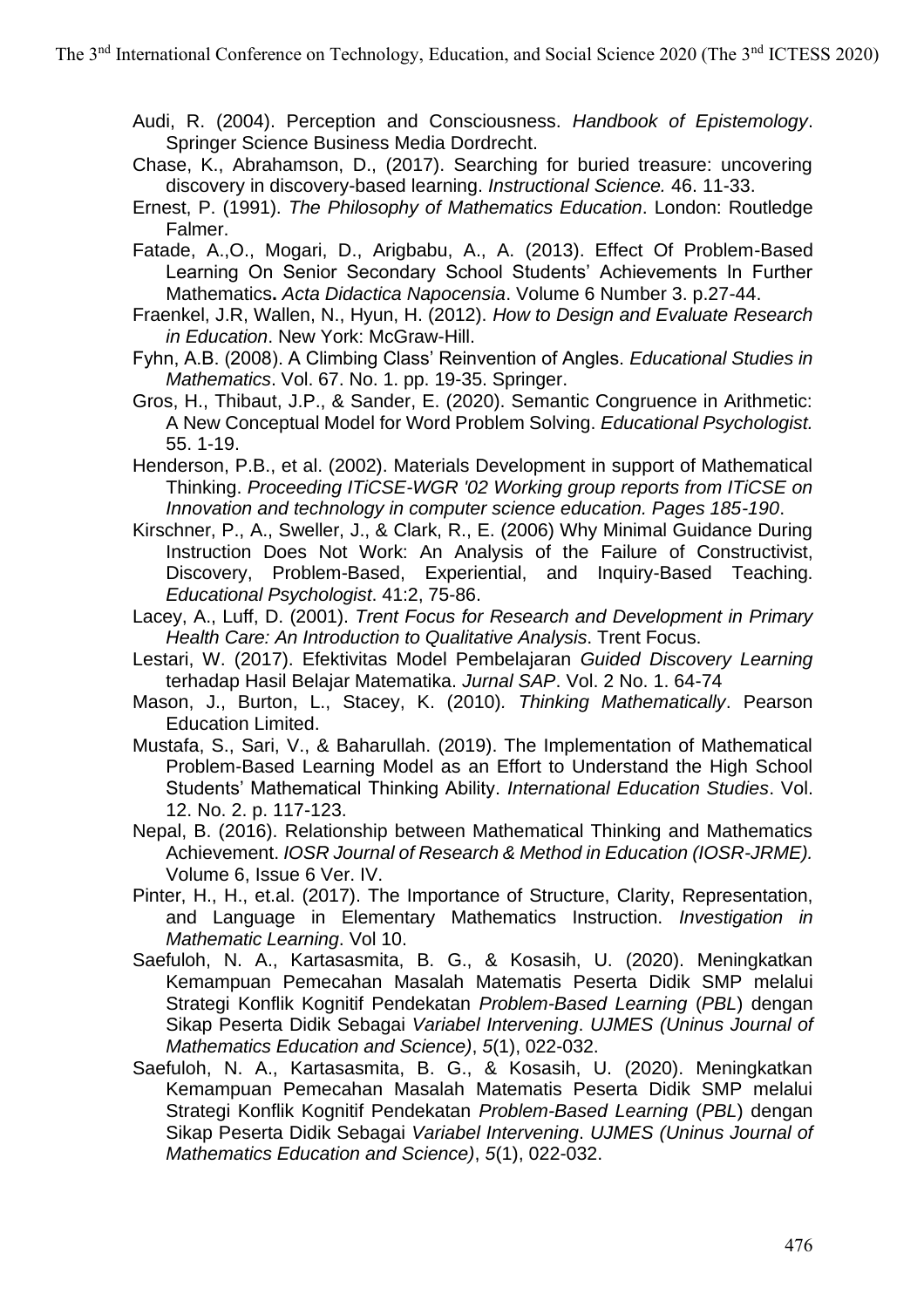Audi, R. (2004). Perception and Consciousness. *Handbook of Epistemology*. Springer Science Business Media Dordrecht.

- Chase, K., Abrahamson, D., (2017). Searching for buried treasure: uncovering discovery in discovery-based learning. *Instructional Science.* 46. 11-33.
- Ernest, P. (1991). *The Philosophy of Mathematics Education*. London: Routledge Falmer.
- Fatade, A.,O., Mogari, D., Arigbabu, A., A. (2013). Effect Of Problem-Based Learning On Senior Secondary School Students' Achievements In Further Mathematics**.** *Acta Didactica Napocensia*. Volume 6 Number 3. p.27-44.
- Fraenkel, J.R, Wallen, N., Hyun, H. (2012). *How to Design and Evaluate Research in Education*. New York: McGraw-Hill.
- Fyhn, A.B. (2008). A Climbing Class' Reinvention of Angles. *Educational Studies in Mathematics*. Vol. 67. No. 1. pp. 19-35. Springer.
- Gros, H., Thibaut, J.P., & Sander, E. (2020). Semantic Congruence in Arithmetic: A New Conceptual Model for Word Problem Solving. *Educational Psychologist.* 55. 1-19.
- Henderson, P.B., et al. (2002). Materials Development in support of Mathematical Thinking. *Proceeding ITiCSE-WGR '02 Working group reports from ITiCSE on Innovation and technology in computer science education. Pages 185-190*.
- Kirschner, P., A., Sweller, J., & Clark, R., E. (2006) Why Minimal Guidance During Instruction Does Not Work: An Analysis of the Failure of Constructivist, Discovery, Problem-Based, Experiential, and Inquiry-Based Teaching. *Educational Psychologist*. 41:2, 75-86.
- Lacey, A., Luff, D. (2001). *Trent Focus for Research and Development in Primary Health Care: An Introduction to Qualitative Analysis*. Trent Focus.
- Lestari, W. (2017). Efektivitas Model Pembelajaran *Guided Discovery Learning*  terhadap Hasil Belajar Matematika. *Jurnal SAP*. Vol. 2 No. 1. 64-74
- Mason, J., Burton, L., Stacey, K. (2010)*. Thinking Mathematically*. Pearson Education Limited.
- Mustafa, S., Sari, V., & Baharullah. (2019). The Implementation of Mathematical Problem-Based Learning Model as an Effort to Understand the High School Students' Mathematical Thinking Ability. *International Education Studies*. Vol. 12. No. 2. p. 117-123.
- Nepal, B. (2016). Relationship between Mathematical Thinking and Mathematics Achievement. *IOSR Journal of Research & Method in Education (IOSR-JRME).*  Volume 6, Issue 6 Ver. IV.
- Pinter, H., H., et.al. (2017). The Importance of Structure, Clarity, Representation, and Language in Elementary Mathematics Instruction. *Investigation in Mathematic Learning*. Vol 10.
- Saefuloh, N. A., Kartasasmita, B. G., & Kosasih, U. (2020). Meningkatkan Kemampuan Pemecahan Masalah Matematis Peserta Didik SMP melalui Strategi Konflik Kognitif Pendekatan *Problem-Based Learning* (*PBL*) dengan Sikap Peserta Didik Sebagai *Variabel Intervening*. *UJMES (Uninus Journal of Mathematics Education and Science)*, *5*(1), 022-032.
- Saefuloh, N. A., Kartasasmita, B. G., & Kosasih, U. (2020). Meningkatkan Kemampuan Pemecahan Masalah Matematis Peserta Didik SMP melalui Strategi Konflik Kognitif Pendekatan *Problem-Based Learning* (*PBL*) dengan Sikap Peserta Didik Sebagai *Variabel Intervening*. *UJMES (Uninus Journal of Mathematics Education and Science)*, *5*(1), 022-032.